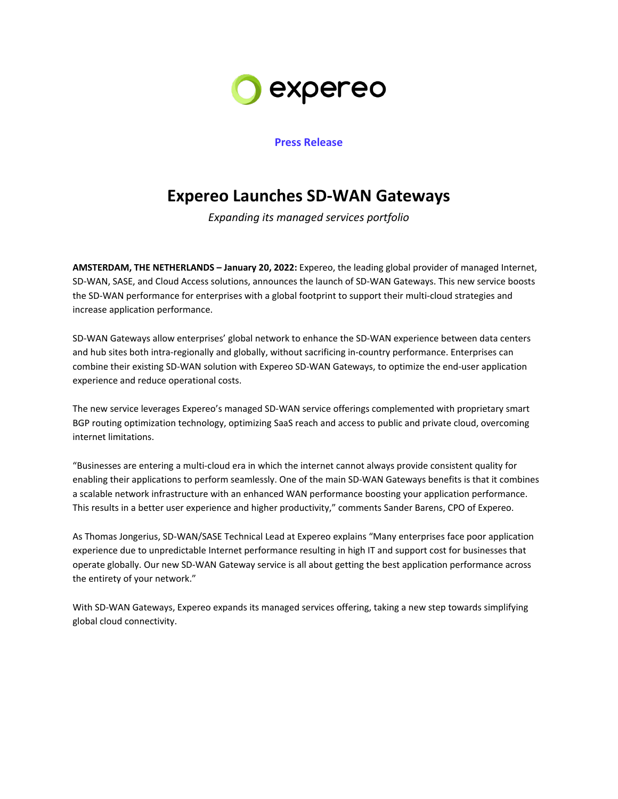

## **Press Release**

## **Expereo Launches SD-WAN Gateways**

*Expanding its managed services portfolio*

**AMSTERDAM, THE NETHERLANDS – January 20, 2022:** Expereo, the leading global provider of managed Internet, SD-WAN, SASE, and Cloud Access solutions, announces the launch of SD-WAN Gateways. This new service boosts the SD-WAN performance for enterprises with a global footprint to support their multi-cloud strategies and increase application performance.

SD-WAN Gateways allow enterprises' global network to enhance the SD-WAN experience between data centers and hub sites both intra-regionally and globally, without sacrificing in-country performance. Enterprises can combine their existing SD-WAN solution with Expereo SD-WAN Gateways, to optimize the end-user application experience and reduce operational costs.

The new service leverages Expereo's managed SD-WAN service offerings complemented with proprietary smart BGP routing optimization technology, optimizing SaaS reach and access to public and private cloud, overcoming internet limitations.

"Businesses are entering a multi-cloud era in which the internet cannot always provide consistent quality for enabling their applications to perform seamlessly. One of the main SD-WAN Gateways benefits is that it combines a scalable network infrastructure with an enhanced WAN performance boosting your application performance. This results in a better user experience and higher productivity," comments Sander Barens, CPO of Expereo.

As Thomas Jongerius, SD-WAN/SASE Technical Lead at Expereo explains "Many enterprises face poor application experience due to unpredictable Internet performance resulting in high IT and support cost for businesses that operate globally. Our new SD-WAN Gateway service is all about getting the best application performance across the entirety of your network."

With SD-WAN Gateways, Expereo expands its managed services offering, taking a new step towards simplifying global cloud connectivity.